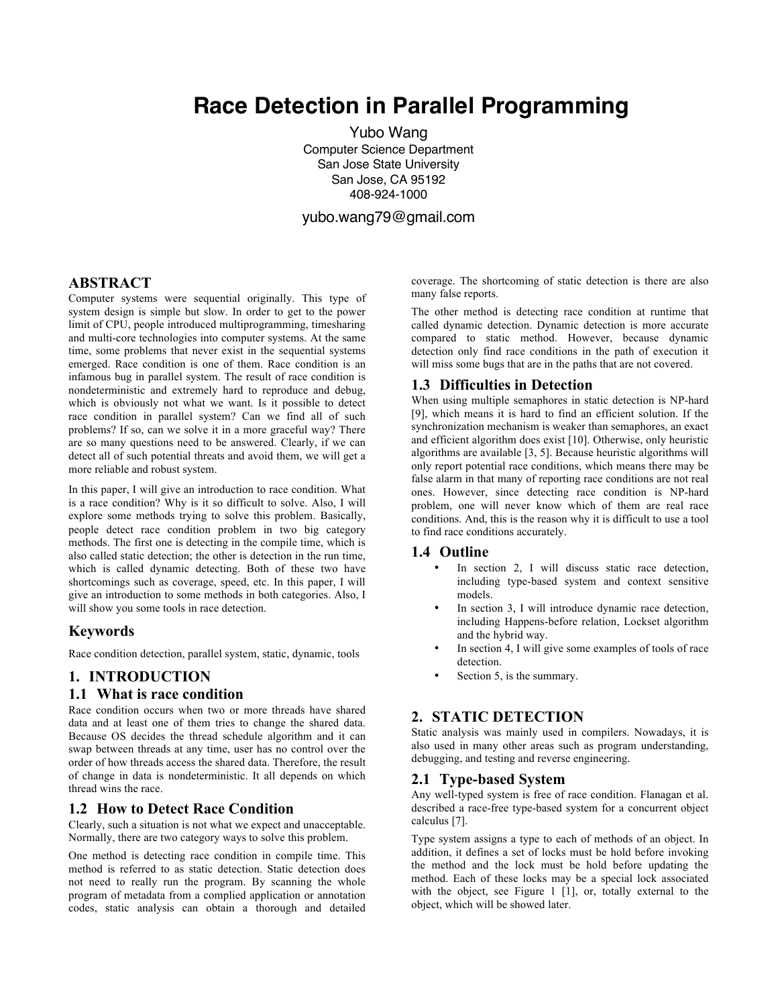# **Race Detection in Parallel Programming**

Yubo Wang Computer Science Department San Jose State University San Jose, CA 95192 408-924-1000

yubo.wang79@gmail.com

# **ABSTRACT**

Computer systems were sequential originally. This type of system design is simple but slow. In order to get to the power limit of CPU, people introduced multiprogramming, timesharing and multi-core technologies into computer systems. At the same time, some problems that never exist in the sequential systems emerged. Race condition is one of them. Race condition is an infamous bug in parallel system. The result of race condition is nondeterministic and extremely hard to reproduce and debug, which is obviously not what we want. Is it possible to detect race condition in parallel system? Can we find all of such problems? If so, can we solve it in a more graceful way? There are so many questions need to be answered. Clearly, if we can detect all of such potential threats and avoid them, we will get a more reliable and robust system.

In this paper, I will give an introduction to race condition. What is a race condition? Why is it so difficult to solve. Also, I will explore some methods trying to solve this problem. Basically, people detect race condition problem in two big category methods. The first one is detecting in the compile time, which is also called static detection; the other is detection in the run time, which is called dynamic detecting. Both of these two have shortcomings such as coverage, speed, etc. In this paper, I will give an introduction to some methods in both categories. Also, I will show you some tools in race detection.

#### **Keywords**

Race condition detection, parallel system, static, dynamic, tools

## **1. INTRODUCTION**

#### **1.1 What is race condition**

Race condition occurs when two or more threads have shared data and at least one of them tries to change the shared data. Because OS decides the thread schedule algorithm and it can swap between threads at any time, user has no control over the order of how threads access the shared data. Therefore, the result of change in data is nondeterministic. It all depends on which thread wins the race.

#### **1.2 How to Detect Race Condition**

Clearly, such a situation is not what we expect and unacceptable. Normally, there are two category ways to solve this problem.

One method is detecting race condition in compile time. This method is referred to as static detection. Static detection does not need to really run the program. By scanning the whole program of metadata from a complied application or annotation codes, static analysis can obtain a thorough and detailed

coverage. The shortcoming of static detection is there are also many false reports.

The other method is detecting race condition at runtime that called dynamic detection. Dynamic detection is more accurate compared to static method. However, because dynamic detection only find race conditions in the path of execution it will miss some bugs that are in the paths that are not covered.

## **1.3 Difficulties in Detection**

When using multiple semaphores in static detection is NP-hard [9], which means it is hard to find an efficient solution. If the synchronization mechanism is weaker than semaphores, an exact and efficient algorithm does exist [10]. Otherwise, only heuristic algorithms are available [3, 5]. Because heuristic algorithms will only report potential race conditions, which means there may be false alarm in that many of reporting race conditions are not real ones. However, since detecting race condition is NP-hard problem, one will never know which of them are real race conditions. And, this is the reason why it is difficult to use a tool to find race conditions accurately.

#### **1.4 Outline**

- In section 2, I will discuss static race detection, including type-based system and context sensitive models.
- In section 3, I will introduce dynamic race detection, including Happens-before relation, Lockset algorithm and the hybrid way.
- In section 4, I will give some examples of tools of race detection.
- Section 5, is the summary.

## **2. STATIC DETECTION**

Static analysis was mainly used in compilers. Nowadays, it is also used in many other areas such as program understanding, debugging, and testing and reverse engineering.

## **2.1 Type-based System**

Any well-typed system is free of race condition. Flanagan et al. described a race-free type-based system for a concurrent object calculus [7].

Type system assigns a type to each of methods of an object. In addition, it defines a set of locks must be hold before invoking the method and the lock must be hold before updating the method. Each of these locks may be a special lock associated with the object, see Figure 1 [1], or, totally external to the object, which will be showed later.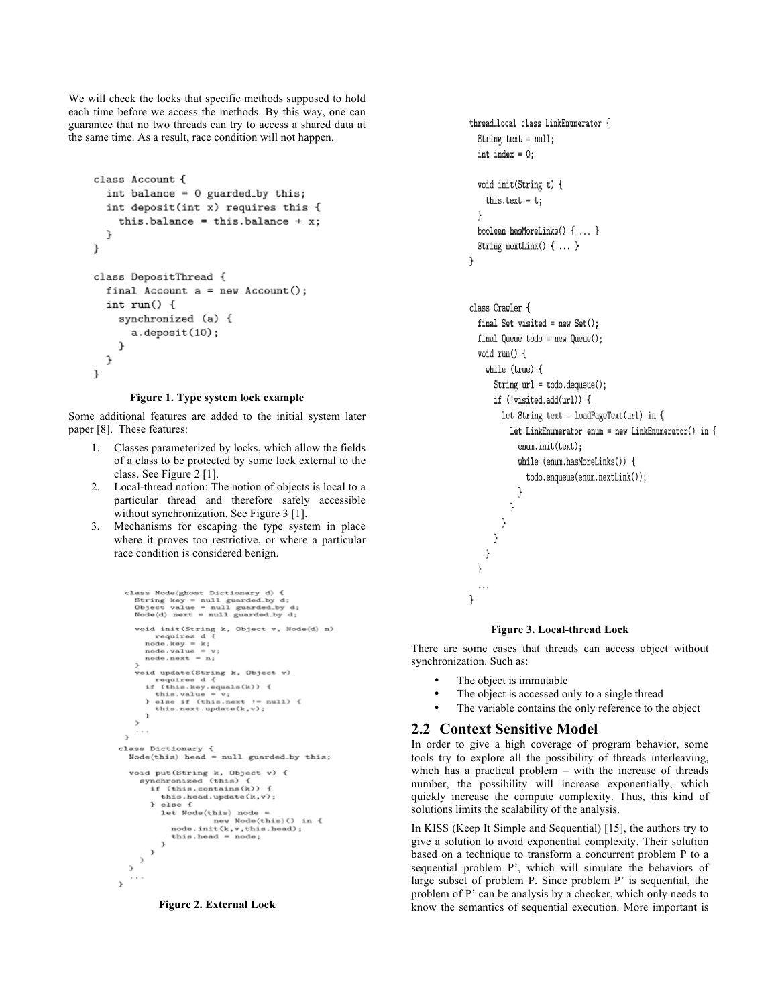We will check the locks that specific methods supposed to hold each time before we access the methods. By this way, one can guarantee that no two threads can try to access a shared data at the same time. As a result, race condition will not happen.

```
class Account {
  int balance = 0 guarded_by this;
  int deposit(int x) requires this {
    this.balance = this.balance + x;
  -7
\mathbf{r}class DepositThread {
  final Account a = new Account();
  int run() fsynchronized (a) {
       a.deposit(10);\mathbf{r}\mathcal{F}}
```
#### **Figure 1. Type system lock example**

Some additional features are added to the initial system later paper [8]. These features:

- 1. Classes parameterized by locks, which allow the fields of a class to be protected by some lock external to the class. See Figure 2 [1].
- 2. Local-thread notion: The notion of objects is local to a particular thread and therefore safely accessible without synchronization. See Figure 3 [1].
- 3. Mechanisms for escaping the type system in place where it proves too restrictive, or where a particular race condition is considered benign.

```
class Node(ghost Dictionary d) {<br>String key = null guarded by d;<br>Object value = null guarded by d;<br>Node(d) next = null guarded by d;
          void init(String k, Object v, Node\langle d \rangle n)<br>requires d {
               requires d \nmid<br>requires d \nmid<br>node.key = k;<br>node.value = v;<br>node.next = n;
          .<br>void update(String k, Object v)
              oid update(String k, Object v)<br>
requires d {<br>
if (this.key.equals(k)) {<br>
this.value = v;<br>
belse if (this.next != null) {<br>
bis.next.update(k,v);<br>
this.next.update(k,v);
              \rightarrow\,ī.,
   \,class Dictionary {<br> \texttt{Node}(\texttt{this}) \texttt{ head = null guarded\_by this};void put (String k, Object v) {<br>synchronized (this) {<br>if (this.contains(k)) {
                  this.head.update(k,v);<br>} else {<br>let Node(this) node =
                              new Node(this)() in {<br>node.init(k,v,this.head);<br>this.head = node;
   \sim \sim \sim\overline{\mathbf{r}}
```


```
thread_local class LinkEnumerator {
  String text = null;
  int index = 0;
  void init(String t) {
    this.text = t;
  \mathcal{E}boolean hasMoreLinks() { ... }
  String nextLink() \{ \ldots \}\mathcal{E}
```

```
class Crawler {
  final Set visited = new Set();final Queue todo = new Queue();
  void run() fwhile (true) {
      String url = todo.dequeue();if (!visited.add(url)) {
        let String text = loadPageText(url) in {
          let LinkEnumerator enum = new LinkEnumerator() in {
            enum.init(text):
            while (enum.hasMoreLinks()) {
              todo.enqueue(enum.nextLink());
            - 1
         \cdot\}}
   }
 }
}
```
#### **Figure 3. Local-thread Lock**

There are some cases that threads can access object without synchronization. Such as:

- The object is immutable
- The object is accessed only to a single thread
- The variable contains the only reference to the object

#### **2.2 Context Sensitive Model**

In order to give a high coverage of program behavior, some tools try to explore all the possibility of threads interleaving, which has a practical problem – with the increase of threads number, the possibility will increase exponentially, which quickly increase the compute complexity. Thus, this kind of solutions limits the scalability of the analysis.

In KISS (Keep It Simple and Sequential) [15], the authors try to give a solution to avoid exponential complexity. Their solution based on a technique to transform a concurrent problem P to a sequential problem P', which will simulate the behaviors of large subset of problem P. Since problem P' is sequential, the problem of P' can be analysis by a checker, which only needs to know the semantics of sequential execution. More important is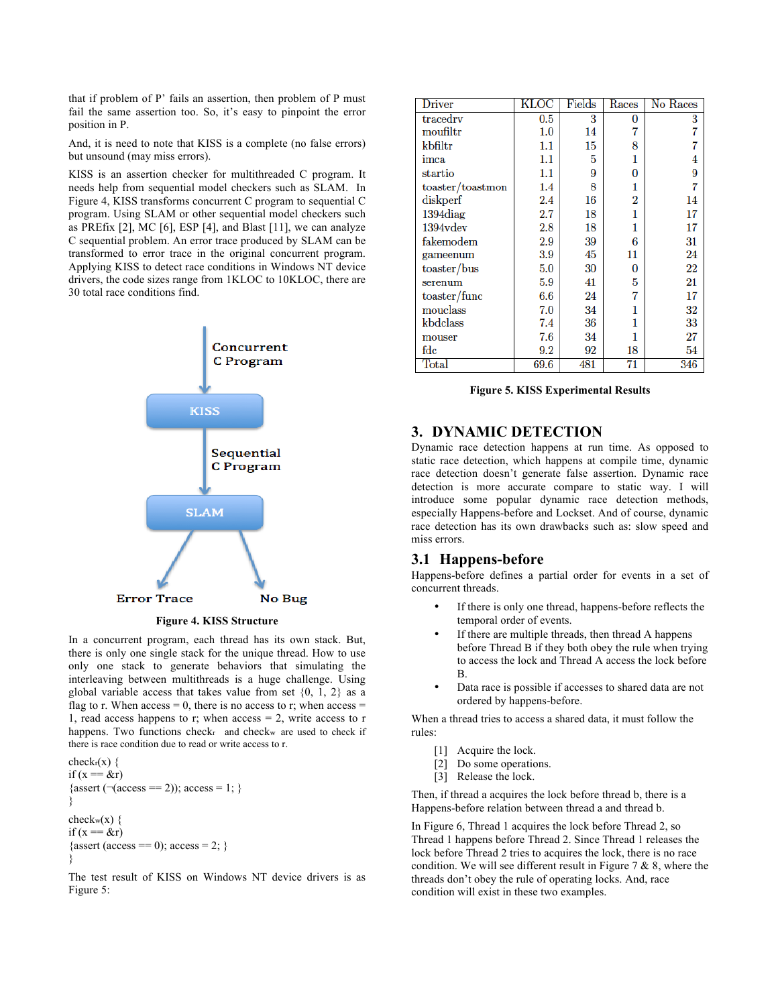that if problem of P' fails an assertion, then problem of P must fail the same assertion too. So, it's easy to pinpoint the error position in P.

And, it is need to note that KISS is a complete (no false errors) but unsound (may miss errors).

KISS is an assertion checker for multithreaded C program. It needs help from sequential model checkers such as SLAM. In Figure 4, KISS transforms concurrent C program to sequential C program. Using SLAM or other sequential model checkers such as PREfix [2], MC [6], ESP [4], and Blast [11], we can analyze C sequential problem. An error trace produced by SLAM can be transformed to error trace in the original concurrent program. Applying KISS to detect race conditions in Windows NT device drivers, the code sizes range from 1KLOC to 10KLOC, there are 30 total race conditions find.



**Figure 4. KISS Structure**

In a concurrent program, each thread has its own stack. But, there is only one single stack for the unique thread. How to use only one stack to generate behaviors that simulating the interleaving between multithreads is a huge challenge. Using global variable access that takes value from set  $\{0, 1, 2\}$  as a flag to r. When  $access = 0$ , there is no access to r; when  $access =$ 1, read access happens to r; when  $access = 2$ , write access to r happens. Two functions check<sub>r</sub> and check<sub>w</sub> are used to check if there is race condition due to read or write access to r.

check $r(x)$  { if  $(x = \&r)$ {assert ( $\neg$ (access == 2)); access = 1; } } checkw $(x)$  { if  $(x = \&r)$ {assert (access == 0); access = 2; } }

The test result of KISS on Windows NT device drivers is as Figure 5:

| Driver           | KLOC    | Fields | Races              | No Races |
|------------------|---------|--------|--------------------|----------|
| tracedry         | $0.5\,$ | 3      | 0                  | 3        |
| moufiltr         | 1.0     | 14     | 7                  | 7        |
| kbfiltr          | 1.1     | 15     | 8                  | 7        |
| imca             | 1.1     | 5      | 1                  | 4        |
| startio          | 1.1     | 9      | 0                  | 9        |
| toaster/toastmon | 1.4     | 8      | 1                  | 7        |
| diskperf         | $2.4\,$ | 16     | $\overline{\bf 2}$ | 14       |
| 1394diag         | $2.7\,$ | 18     | 1                  | 17       |
| $1394$ vdev      | $2.8\,$ | 18     | 1                  | 17       |
| fakemodem        | 2.9     | 39     | 6                  | 31       |
| gameenum         | 3.9     | 45     | 11                 | 24       |
| toaster/bus      | 5.0     | 30     | 0                  | 22       |
| serenum          | 5.9     | 41     | 5                  | 21       |
| toaster/func     | 6.6     | 24     | 7                  | 17       |
| mouclass         | 7.0     | 34     | 1                  | 32       |
| kbdclass         | 7.4     | 36     | 1                  | 33       |
| mouser           | 7.6     | 34     |                    | 27       |
| fdc              | 9.2     | 92     | 18                 | 54       |
| Total            | 69.6    | 481    | 71                 | 346      |

**Figure 5. KISS Experimental Results**

## **3. DYNAMIC DETECTION**

Dynamic race detection happens at run time. As opposed to static race detection, which happens at compile time, dynamic race detection doesn't generate false assertion. Dynamic race detection is more accurate compare to static way. I will introduce some popular dynamic race detection methods, especially Happens-before and Lockset. And of course, dynamic race detection has its own drawbacks such as: slow speed and miss errors.

## **3.1 Happens-before**

Happens-before defines a partial order for events in a set of concurrent threads.

- If there is only one thread, happens-before reflects the temporal order of events.
- If there are multiple threads, then thread A happens before Thread B if they both obey the rule when trying to access the lock and Thread A access the lock before B.
- Data race is possible if accesses to shared data are not ordered by happens-before.

When a thread tries to access a shared data, it must follow the rules:

- [1] Acquire the lock.
- [2] Do some operations.
- [3] Release the lock.

Then, if thread a acquires the lock before thread b, there is a Happens-before relation between thread a and thread b.

In Figure 6, Thread 1 acquires the lock before Thread 2, so Thread 1 happens before Thread 2. Since Thread 1 releases the lock before Thread 2 tries to acquires the lock, there is no race condition. We will see different result in Figure 7  $\&$  8, where the threads don't obey the rule of operating locks. And, race condition will exist in these two examples.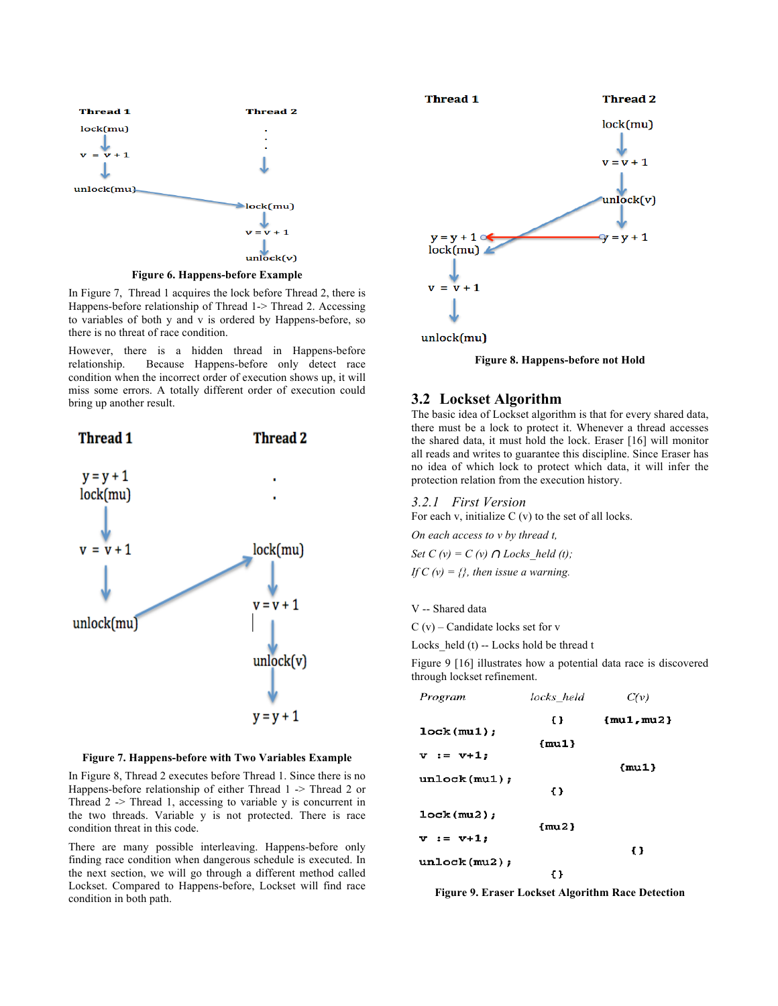

In Figure 7, Thread 1 acquires the lock before Thread 2, there is Happens-before relationship of Thread 1-> Thread 2. Accessing to variables of both y and v is ordered by Happens-before, so there is no threat of race condition.

However, there is a hidden thread in Happens-before relationship. Because Happens-before only detect race condition when the incorrect order of execution shows up, it will miss some errors. A totally different order of execution could bring up another result.



**Figure 7. Happens-before with Two Variables Example**

In Figure 8, Thread 2 executes before Thread 1. Since there is no Happens-before relationship of either Thread 1 -> Thread 2 or Thread  $2 \rightarrow$  Thread 1, accessing to variable y is concurrent in the two threads. Variable y is not protected. There is race condition threat in this code.

There are many possible interleaving. Happens-before only finding race condition when dangerous schedule is executed. In the next section, we will go through a different method called Lockset. Compared to Happens-before, Lockset will find race condition in both path.





#### **3.2 Lockset Algorithm**

The basic idea of Lockset algorithm is that for every shared data, there must be a lock to protect it. Whenever a thread accesses the shared data, it must hold the lock. Eraser [16] will monitor all reads and writes to guarantee this discipline. Since Eraser has no idea of which lock to protect which data, it will infer the protection relation from the execution history.

*3.2.1 First Version*

For each v, initialize  $C(v)$  to the set of all locks.

*On each access to v by thread t,*

*Set C (v) = C (v)*  $\bigcap$  *Locks* held (t); *If C (v) = {}, then issue a warning.* 

V -- Shared data

 $C(v)$  – Candidate locks set for v

Locks held  $(t)$  -- Locks hold be thread t

Figure 9 [16] illustrates how a potential data race is discovered through lockset refinement.

| Program        | locks held | C(v)           |
|----------------|------------|----------------|
|                | £ }        | $\{mu1, mu2\}$ |
| lock(mu1);     | $\{mu1\}$  |                |
| $v := v + 1;$  |            | mu1            |
| unlock(mu1);   |            |                |
|                | $\{\}$     |                |
| lock(mu2);     | $\{mu2\}$  |                |
| $v := v + 1$ ; |            |                |
| unlock(mu2);   |            | Ð              |
|                | ና ኑ        |                |

**Figure 9. Eraser Lockset Algorithm Race Detection**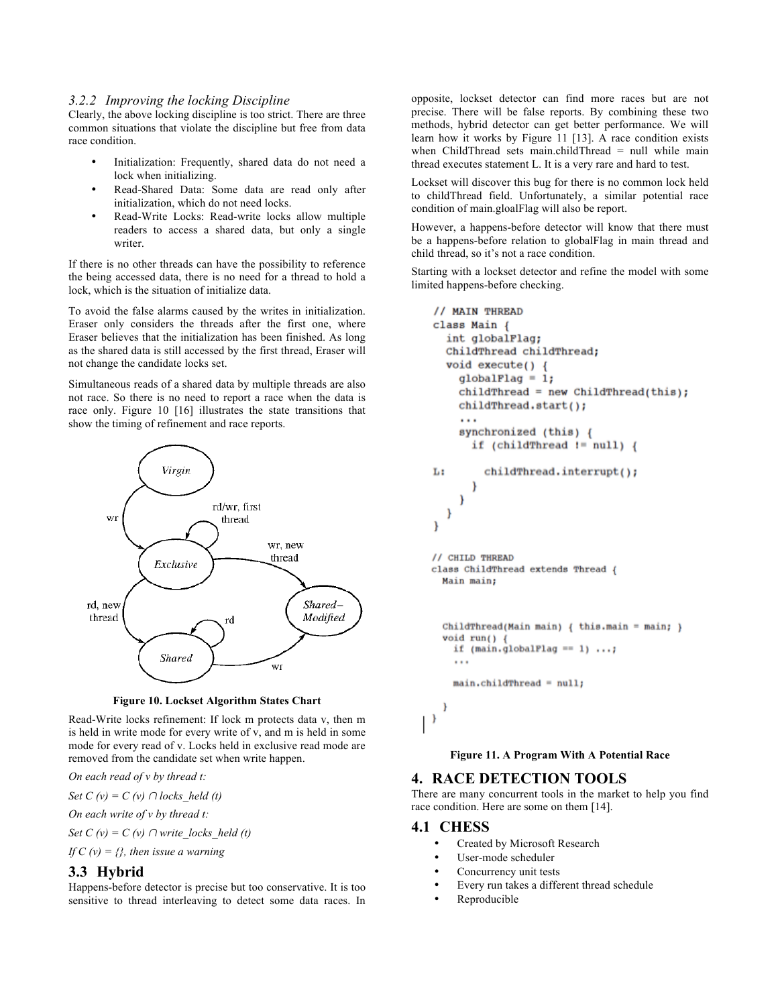#### *3.2.2 Improving the locking Discipline*

Clearly, the above locking discipline is too strict. There are three common situations that violate the discipline but free from data race condition.

- Initialization: Frequently, shared data do not need a lock when initializing.
- Read-Shared Data: Some data are read only after initialization, which do not need locks.
- Read-Write Locks: Read-write locks allow multiple readers to access a shared data, but only a single writer.

If there is no other threads can have the possibility to reference the being accessed data, there is no need for a thread to hold a lock, which is the situation of initialize data.

To avoid the false alarms caused by the writes in initialization. Eraser only considers the threads after the first one, where Eraser believes that the initialization has been finished. As long as the shared data is still accessed by the first thread, Eraser will not change the candidate locks set.

Simultaneous reads of a shared data by multiple threads are also not race. So there is no need to report a race when the data is race only. Figure 10 [16] illustrates the state transitions that show the timing of refinement and race reports.



**Figure 10. Lockset Algorithm States Chart**

Read-Write locks refinement: If lock m protects data v, then m is held in write mode for every write of v, and m is held in some mode for every read of v. Locks held in exclusive read mode are removed from the candidate set when write happen.

*On each read of v by thread t:*

*Set*  $C(v) = C(v) \cap \text{locks held (t)}$ 

*On each write of v by thread t:*

*Set C (v) = C (v)*  $\cap$  *write locks held (t)* 

*If C (v) = {}, then issue a warning*

# **3.3 Hybrid**

Happens-before detector is precise but too conservative. It is too sensitive to thread interleaving to detect some data races. In

opposite, lockset detector can find more races but are not precise. There will be false reports. By combining these two methods, hybrid detector can get better performance. We will learn how it works by Figure 11 [13]. A race condition exists when ChildThread sets main.childThread  $=$  null while main thread executes statement L. It is a very rare and hard to test.

Lockset will discover this bug for there is no common lock held to childThread field. Unfortunately, a similar potential race condition of main.gloalFlag will also be report.

However, a happens-before detector will know that there must be a happens-before relation to globalFlag in main thread and child thread, so it's not a race condition.

Starting with a lockset detector and refine the model with some limited happens-before checking.

```
// MAIN THREAD
 class Main {
    int globalFlag:
    ChildThread childThread;
    void execute() {
      globalFlag = 1;childThread = new ChildThread(this);childThread.start();
      \cdotssynchronized (this) {
         if (childThread != null) {
           childThread.interrupt();
 Lt
         ₿
      Y
    ١
 ₹
 // CHILD THREAD
 class ChildThread extends Thread {
   Main main:
   ChildThread(Main main) { this.main = main; }
   void run() \overrightarrow{ }if (main.globalFlag == 1) ...;\ddotscmain.childThread = null;
   \mathbf{I}\vert )
```
**Figure 11. A Program With A Potential Race**

## **4. RACE DETECTION TOOLS**

There are many concurrent tools in the market to help you find race condition. Here are some on them [14].

#### **4.1 CHESS**

- Created by Microsoft Research
- User-mode scheduler
- Concurrency unit tests
- Every run takes a different thread schedule
- Reproducible